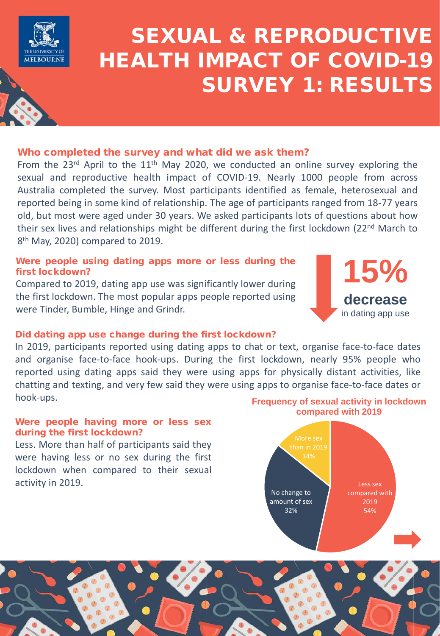

# SEXUAL & REPRODUCTIVE HEALTH IMPACT OF COVID-19 SURVEY 1: RESULTS

# Who completed the survey and what did we ask them?

From the 23<sup>rd</sup> April to the  $11<sup>th</sup>$  May 2020, we conducted an online survey exploring the sexual and reproductive health impact of COVID-19. Nearly 1000 people from across Australia completed the survey. Most participants identified as female, heterosexual and reported being in some kind of relationship. The age of participants ranged from 18-77 years old, but most were aged under 30 years. We asked participants lots of questions about how their sex lives and relationships might be different during the first lockdown (22<sup>nd</sup> March to 8<sup>th</sup> May, 2020) compared to 2019.

# Were people using dating apps more or less during the first lockdown?

Compared to 2019, dating app use was significantly lower during the first lockdown. The most popular apps people reported using were Tinder, Bumble, Hinge and Grindr.

## Did dating app use change during the first lockdown?

In 2019, participants reported using dating apps to chat or text, organise face-to-face dates and organise face-to-face hook-ups. During the first lockdown, nearly 95% people who reported using dating apps said they were using apps for physically distant activities, like chatting and texting, and very few said they were using apps to organise face-to-face dates or hook-ups.

## Were people having more or less sex during the first lockdown?

Less. More than half of participants said they were having less or no sex during the first lockdown when compared to their sexual activity in 2019.

## **Frequency of sexual activity in lockdown compared with 2019**

**15%**

**decrease** in dating app use